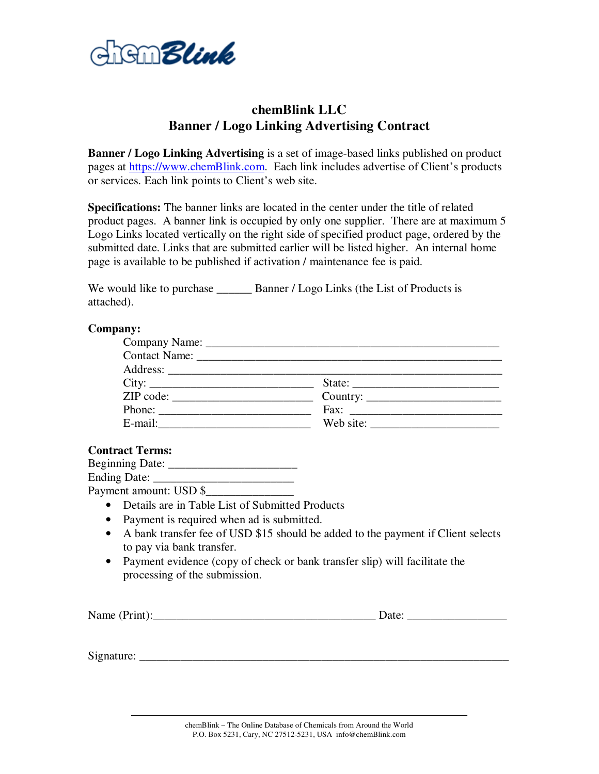

# **chemBlink LLC Banner / Logo Linking Advertising Contract**

**Banner / Logo Linking Advertising** is a set of image-based links published on product pages at https://www.chemBlink.com. Each link includes advertise of Client's products or services. Each link points to Client's web site.

**Specifications:** The banner links are located in the center under the title of related product pages. A banner link is occupied by only one supplier. There are at maximum 5 Logo Links located vertically on the right side of specified product page, ordered by the submitted date. Links that are submitted earlier will be listed higher. An internal home page is available to be published if activation / maintenance fee is paid.

We would like to purchase \_\_\_\_\_\_\_\_ Banner / Logo Links (the List of Products is attached).

## **Company:**

| City:                                                                                                                                                                                                                                                                                                                                                                                                        |  |
|--------------------------------------------------------------------------------------------------------------------------------------------------------------------------------------------------------------------------------------------------------------------------------------------------------------------------------------------------------------------------------------------------------------|--|
| ZIP code:                                                                                                                                                                                                                                                                                                                                                                                                    |  |
| Phone: $\frac{1}{\sqrt{1-\frac{1}{2}}\sqrt{1-\frac{1}{2}}\sqrt{1-\frac{1}{2}}\sqrt{1-\frac{1}{2}}\sqrt{1-\frac{1}{2}}\sqrt{1-\frac{1}{2}}\sqrt{1-\frac{1}{2}}\sqrt{1-\frac{1}{2}}\sqrt{1-\frac{1}{2}}\sqrt{1-\frac{1}{2}}\sqrt{1-\frac{1}{2}}\sqrt{1-\frac{1}{2}}\sqrt{1-\frac{1}{2}}\sqrt{1-\frac{1}{2}}\sqrt{1-\frac{1}{2}}\sqrt{1-\frac{1}{2}}\sqrt{1-\frac{1}{2}}\sqrt{1-\frac{1}{2}}\sqrt{1-\frac{1}{2$ |  |
|                                                                                                                                                                                                                                                                                                                                                                                                              |  |
|                                                                                                                                                                                                                                                                                                                                                                                                              |  |

### **Contract Terms:**

| <b>Beginning Date:</b> |
|------------------------|
| Ending Date: _         |
| Payment amount: USD \$ |

- Details are in Table List of Submitted Products
- Payment is required when ad is submitted.
- A bank transfer fee of USD \$15 should be added to the payment if Client selects to pay via bank transfer.
- Payment evidence (copy of check or bank transfer slip) will facilitate the processing of the submission.

Name (Print):\_\_\_\_\_\_\_\_\_\_\_\_\_\_\_\_\_\_\_\_\_\_\_\_\_\_\_\_\_\_\_\_\_\_\_\_\_\_ Date: \_\_\_\_\_\_\_\_\_\_\_\_\_\_\_\_\_

Signature: \_\_\_\_\_\_\_\_\_\_\_\_\_\_\_\_\_\_\_\_\_\_\_\_\_\_\_\_\_\_\_\_\_\_\_\_\_\_\_\_\_\_\_\_\_\_\_\_\_\_\_\_\_\_\_\_\_\_\_\_\_\_\_